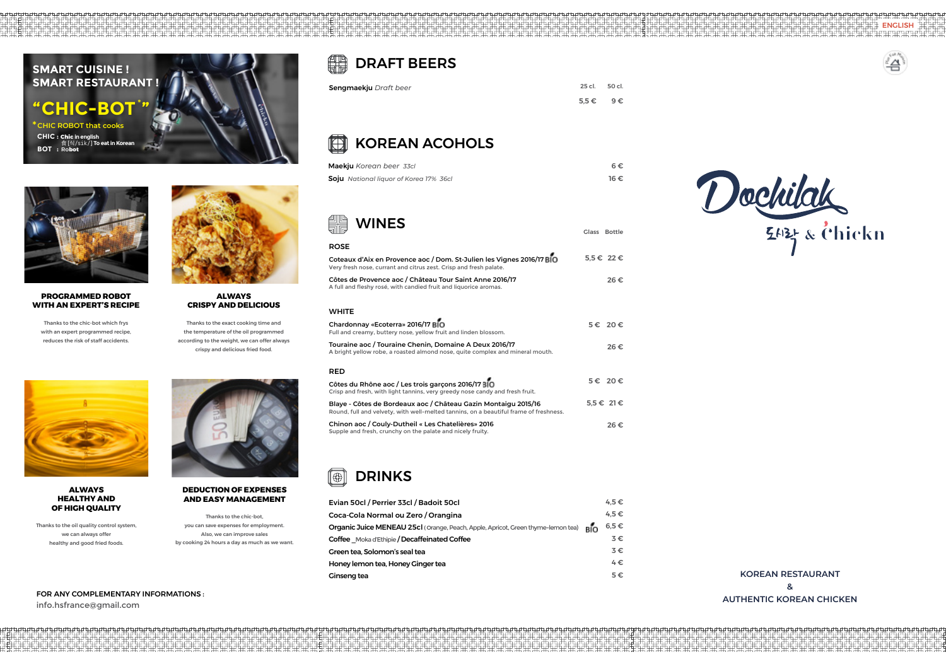### H DRAFT BEERS

| ਗ਼∭∖⊾                                                                                                                                                   | Glass Bottle     |
|---------------------------------------------------------------------------------------------------------------------------------------------------------|------------------|
| <b>ROSE</b>                                                                                                                                             |                  |
| Coteaux d'Aix en Provence aoc / Dom. St-Julien les Vignes 2016/17 BIO<br>Very fresh nose, currant and citrus zest. Crisp and fresh palate.              | 5,5 € 22 €       |
| Côtes de Provence aoc / Château Tour Saint Anne 2016/17<br>A full and fleshy rosé, with candied fruit and liquorice aromas.                             | 26€              |
| WHITE                                                                                                                                                   |                  |
| Chardonnay «Ecoterra» 2016/17 BIO<br>Full and creamy, buttery nose, yellow fruit and linden blossom.                                                    | 5€ 20€           |
| Touraine aoc / Touraine Chenin, Domaine A Deux 2016/17<br>A bright yellow robe, a roasted almond nose, quite complex and mineral mouth.                 | 26€              |
| <b>RED</b>                                                                                                                                              |                  |
| Côtes du Rhône aoc / Les trois garçons 2016/17 BIO<br>Crisp and fresh, with light tannins, very greedy nose candy and fresh fruit.                      | 5€ 20€           |
| Blaye - Côtes de Bordeaux aoc / Château Gazin Montaigu 2015/16<br>Round, full and velvety, with well-melted tannins, on a beautiful frame of freshness. | $5.5 \in 21 \in$ |
| $C_{\rm b}$ in an an a $\int C_{\rm c}$ ubu Duthail a lea Chatalitusa. 2016                                                                             |                  |

### □ KOREAN ACOHOLS

**Chinon aoc / Couly-Dutheil « Les Chatelières» 2016** Supple and fresh, crunchy on the palate and nicely fruity. 26 €

## **i** DRINKS

### WINES

| <b>Maekju</b> Korean beer 33cl                | 6€   |
|-----------------------------------------------|------|
| <b>Soju</b> National liquor of Korea 17% 36cl | 16 € |

| Evian 50cl / Perrier 33cl / Badoit 50cl                                          |     | $4.5 \in$ |
|----------------------------------------------------------------------------------|-----|-----------|
| Coca-Cola Normal ou Zero / Orangina                                              |     | $4.5 \in$ |
| Organic Juice MENEAU 25cl (Orange, Peach, Apple, Apricot, Green thyme-lemon tea) | вíо | $6,5 \in$ |
| Coffee Moka d'Ethipie / Decaffeinated Coffee                                     |     | $3 \in$   |
| Green tea. Solomon's seal tea                                                    |     | $3 \in$   |
| Honey lemon tea, Honey Ginger tea                                                |     | $4 \in$   |
| <b>Ginseng tea</b>                                                               |     | $5 \in$   |

**SMART CUISINE !**



**SMART RESTAURANT !**

**" CHIC-BOT**\* **" CHIC : Chic in english 食** [*식 /sik/*] **To eat in Korean BOT :** Ro**bot \* CHIC ROBOT that cooks** 

FOR ANY COMPLEMENTARY INFORMATIONS :

info.hsfrance@gmail.com



### **PROGRAMMED ROBOT WITH AN EXPERT'S RECIPE**

Thanks to the chic-bot which frys with an expert programmed recipe, reduces the risk of staff accidents.



### **ALWAYS CRISPY AND DELICIOUS**

Thanks to the exact cooking time and the temperature of the oil programmed according to the weight, we can offer always crispy and delicious fried food.



### **ALWAYS HEALTHY AND OF HIGH QUALITY**

Thanks to the oil quality control system, we can always offer healthy and good fried foods.



### **DEDUCTION OF EXPENSES AND EASY MANAGEMENT**

Thanks to the chic-bot, you can save expenses for employment. Also, we can improve sales by cooking 24 hours a day as much as we want.

| <b>Sengmaekju</b> Draft beer | 25 cl. 50 cl.   |  |
|------------------------------|-----------------|--|
|                              | $5.5\leq 9\leq$ |  |

ENGLISH

**ॻय़ॻय़य़ॻ**य़



**KOREAN RESTAURANT & AUTHENTIC KOREAN CHICKEN**